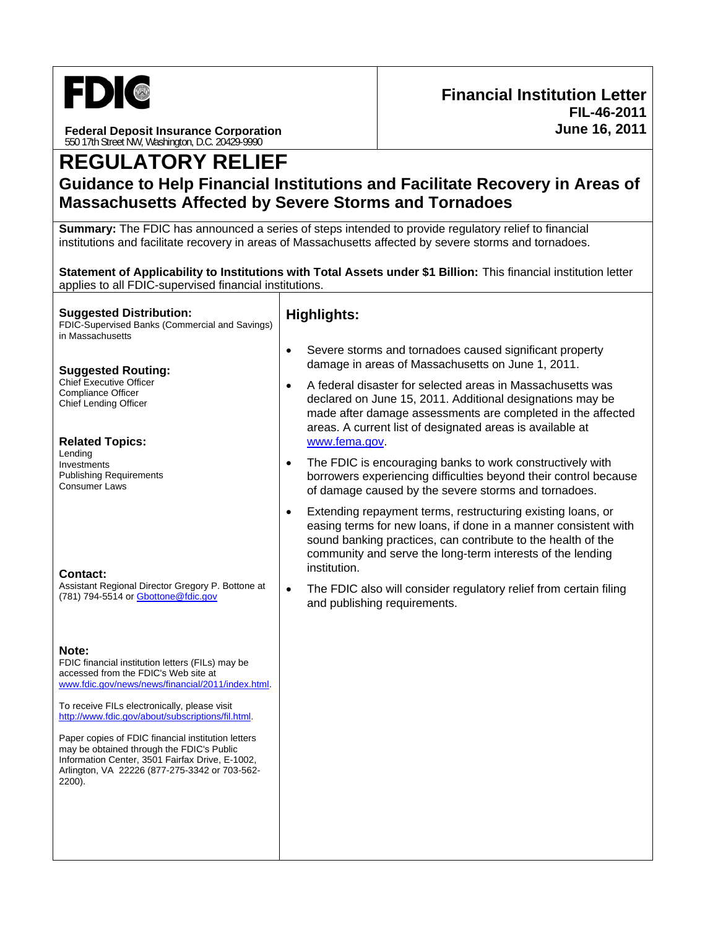

**Federal Deposit Insurance Corporation**  550 17th Street NW, Washington, D.C. 20429-9990

# **REGULATORY RELIEF**

# **Guidance to Help Financial Institutions and Facilitate Recovery in Areas of Massachusetts Affected by Severe Storms and Tornadoes**

**Summary:** The FDIC has announced a series of steps intended to provide regulatory relief to financial institutions and facilitate recovery in areas of Massachusetts affected by severe storms and tornadoes.

**Statement of Applicability to Institutions with Total Assets under \$1 Billion:** This financial institution letter applies to all FDIC-supervised financial institutions.

#### **Suggested Distribution:**  FDIC-Supervised Banks (Commercial and Savings)

in Massachusetts

#### **Suggested Routing:**

Chief Executive Officer Compliance Officer Chief Lending Officer

#### **Related Topics:**

Lending Investments Publishing Requirements Consumer Laws

#### **Contact:**

Assistant Regional Director Gregory P. Bottone at (781) 794-5514 or Gbottone@fdic.gov

#### **Note:**

FDIC financial institution letters (FILs) may be accessed from the FDIC's Web site at www.fdic.gov/news/news/financial/2011/index.html.

To receive FILs electronically, please visit http://www.fdic.gov/about/subscriptions/fil.html.

Paper copies of FDIC financial institution letters may be obtained through the FDIC's Public Information Center, 3501 Fairfax Drive, E-1002, Arlington, VA 22226 (877-275-3342 or 703-562- 2200).

## **Highlights:**

- Severe storms and tornadoes caused significant property damage in areas of Massachusetts on June 1, 2011.
- A federal disaster for selected areas in Massachusetts was declared on June 15, 2011. Additional designations may be made after damage assessments are completed in the affected areas. A current list of designated areas is available at www.fema.gov.
- The FDIC is encouraging banks to work constructively with borrowers experiencing difficulties beyond their control because of damage caused by the severe storms and tornadoes.
- Extending repayment terms, restructuring existing loans, or easing terms for new loans, if done in a manner consistent with sound banking practices, can contribute to the health of the community and serve the long-term interests of the lending institution.
- The FDIC also will consider regulatory relief from certain filing and publishing requirements.